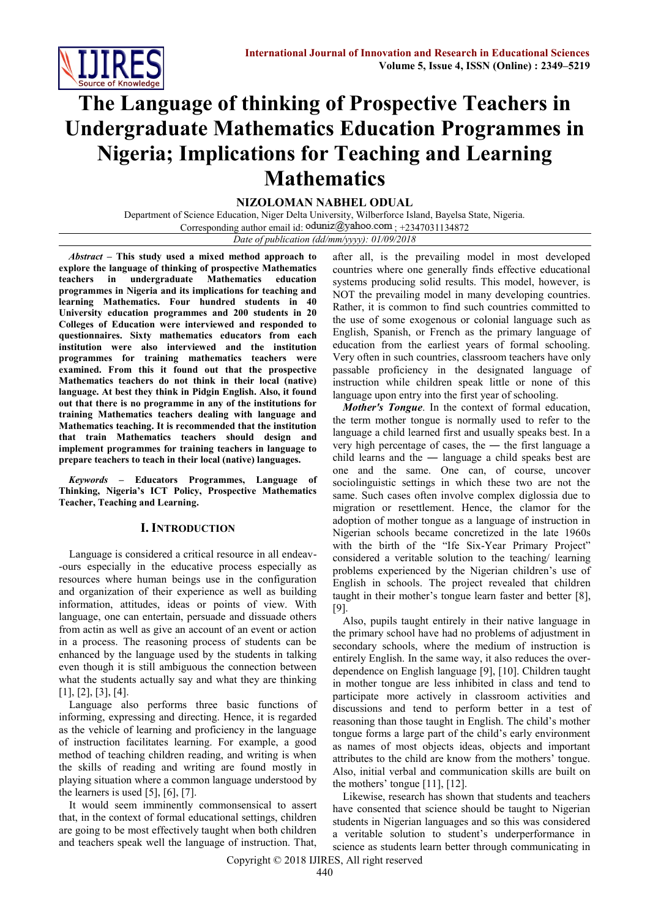

# **The Language of thinking of Prospective Teachers in Undergraduate Mathematics Education Programmes in Nigeria; Implications for Teaching and Learning Mathematics**

**NIZOLOMAN NABHEL ODUAL**

Department of Science Education, Niger Delta University, Wilberforce Island, Bayelsa State, Nigeria. Corresponding author email id:  $\text{oduniz@yahoo.com}$ ; +2347031134872 *Date of publication (dd/mm/yyyy): 01/09/2018*

*Abstract* **– This study used a mixed method approach to explore the language of thinking of prospective Mathematics teachers in undergraduate Mathematics education programmes in Nigeria and its implications for teaching and learning Mathematics. Four hundred students in 40 University education programmes and 200 students in 20 Colleges of Education were interviewed and responded to questionnaires. Sixty mathematics educators from each institution were also interviewed and the institution programmes for training mathematics teachers were examined. From this it found out that the prospective Mathematics teachers do not think in their local (native) language. At best they think in Pidgin English. Also, it found out that there is no programme in any of the institutions for training Mathematics teachers dealing with language and Mathematics teaching. It is recommended that the institution that train Mathematics teachers should design and implement programmes for training teachers in language to prepare teachers to teach in their local (native) languages.**

*Keywords* **– Educators Programmes, Language of Thinking, Nigeria's ICT Policy, Prospective Mathematics Teacher, Teaching and Learning.**

#### **I. INTRODUCTION**

Language is considered a critical resource in all endeav- -ours especially in the educative process especially as resources where human beings use in the configuration and organization of their experience as well as building information, attitudes, ideas or points of view. With language, one can entertain, persuade and dissuade others from actin as well as give an account of an event or action in a process. The reasoning process of students can be enhanced by the language used by the students in talking even though it is still ambiguous the connection between what the students actually say and what they are thinking [1], [2], [3], [4].

Language also performs three basic functions of informing, expressing and directing. Hence, it is regarded as the vehicle of learning and proficiency in the language of instruction facilitates learning. For example, a good method of teaching children reading, and writing is when the skills of reading and writing are found mostly in playing situation where a common language understood by the learners is used  $[5]$ ,  $[6]$ ,  $[7]$ .

It would seem imminently commonsensical to assert that, in the context of formal educational settings, children are going to be most effectively taught when both children and teachers speak well the language of instruction. That, after all, is the prevailing model in most developed countries where one generally finds effective educational systems producing solid results. This model, however, is NOT the prevailing model in many developing countries. Rather, it is common to find such countries committed to the use of some exogenous or colonial language such as English, Spanish, or French as the primary language of education from the earliest years of formal schooling. Very often in such countries, classroom teachers have only passable proficiency in the designated language of instruction while children speak little or none of this language upon entry into the first year of schooling.

*Mother's Tongue*. In the context of formal education, the term mother tongue is normally used to refer to the language a child learned first and usually speaks best. In a very high percentage of cases, the ― the first language a child learns and the ― language a child speaks best are one and the same. One can, of course, uncover sociolinguistic settings in which these two are not the same. Such cases often involve complex diglossia due to migration or resettlement. Hence, the clamor for the adoption of mother tongue as a language of instruction in Nigerian schools became concretized in the late 1960s with the birth of the "Ife Six-Year Primary Project" considered a veritable solution to the teaching/ learning problems experienced by the Nigerian children's use of English in schools. The project revealed that children taught in their mother's tongue learn faster and better [8], [9].

Also, pupils taught entirely in their native language in the primary school have had no problems of adjustment in secondary schools, where the medium of instruction is entirely English. In the same way, it also reduces the overdependence on English language [9], [10]. Children taught in mother tongue are less inhibited in class and tend to participate more actively in classroom activities and discussions and tend to perform better in a test of reasoning than those taught in English. The child's mother tongue forms a large part of the child's early environment as names of most objects ideas, objects and important attributes to the child are know from the mothers' tongue. Also, initial verbal and communication skills are built on the mothers' tongue [11], [12].

Likewise, research has shown that students and teachers have consented that science should be taught to Nigerian students in Nigerian languages and so this was considered a veritable solution to student's underperformance in science as students learn better through communicating in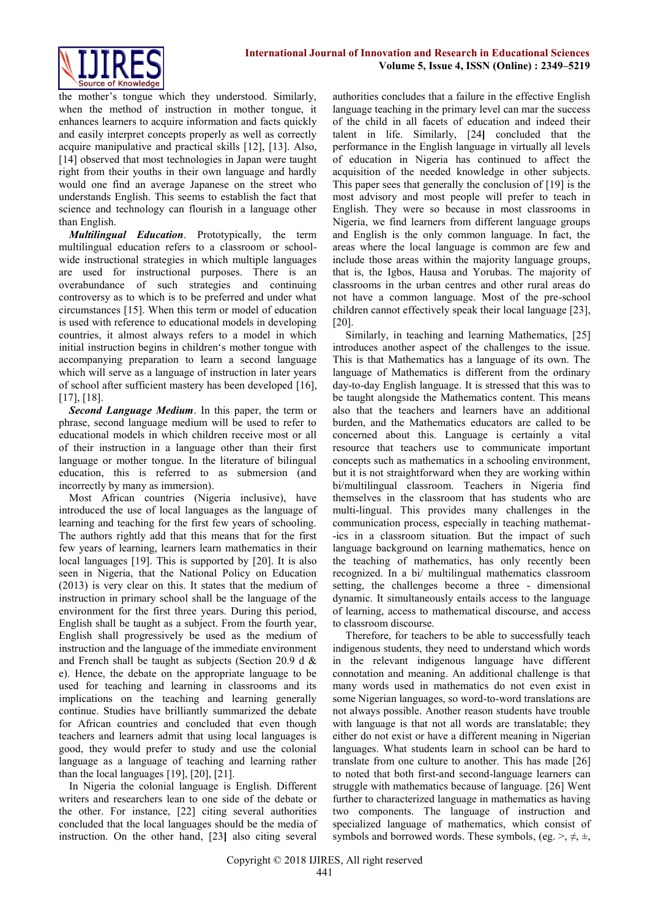

the mother's tongue which they understood. Similarly, when the method of instruction in mother tongue, it enhances learners to acquire information and facts quickly and easily interpret concepts properly as well as correctly acquire manipulative and practical skills [12], [13]. Also, [14] observed that most technologies in Japan were taught right from their youths in their own language and hardly would one find an average Japanese on the street who understands English. This seems to establish the fact that science and technology can flourish in a language other than English.

*Multilingual Education*. Prototypically, the term multilingual education refers to a classroom or schoolwide instructional strategies in which multiple languages are used for instructional purposes. There is an overabundance of such strategies and continuing controversy as to which is to be preferred and under what circumstances [15]. When this term or model of education is used with reference to educational models in developing countries, it almost always refers to a model in which initial instruction begins in children's mother tongue with accompanying preparation to learn a second language which will serve as a language of instruction in later years of school after sufficient mastery has been developed [16], [17], [18].

*Second Language Medium*. In this paper, the term or phrase, second language medium will be used to refer to educational models in which children receive most or all of their instruction in a language other than their first language or mother tongue. In the literature of bilingual education, this is referred to as submersion (and incorrectly by many as immersion).

Most African countries (Nigeria inclusive), have introduced the use of local languages as the language of learning and teaching for the first few years of schooling. The authors rightly add that this means that for the first few years of learning, learners learn mathematics in their local languages [19]. This is supported by [20]. It is also seen in Nigeria, that the National Policy on Education (2013) is very clear on this. It states that the medium of instruction in primary school shall be the language of the environment for the first three years. During this period, English shall be taught as a subject. From the fourth year, English shall progressively be used as the medium of instruction and the language of the immediate environment and French shall be taught as subjects (Section 20.9 d & e). Hence, the debate on the appropriate language to be used for teaching and learning in classrooms and its implications on the teaching and learning generally continue. Studies have brilliantly summarized the debate for African countries and concluded that even though teachers and learners admit that using local languages is good, they would prefer to study and use the colonial language as a language of teaching and learning rather than the local languages [19], [20], [21].

In Nigeria the colonial language is English. Different writers and researchers lean to one side of the debate or the other. For instance, [22] citing several authorities concluded that the local languages should be the media of instruction. On the other hand, [23**]** also citing several

authorities concludes that a failure in the effective English language teaching in the primary level can mar the success of the child in all facets of education and indeed their talent in life. Similarly, [24**]** concluded that the performance in the English language in virtually all levels of education in Nigeria has continued to affect the acquisition of the needed knowledge in other subjects. This paper sees that generally the conclusion of [19] is the most advisory and most people will prefer to teach in English. They were so because in most classrooms in Nigeria, we find learners from different language groups and English is the only common language. In fact, the areas where the local language is common are few and include those areas within the majority language groups, that is, the Igbos, Hausa and Yorubas. The majority of classrooms in the urban centres and other rural areas do not have a common language. Most of the pre-school children cannot effectively speak their local language [23], [20].

Similarly, in teaching and learning Mathematics, [25] introduces another aspect of the challenges to the issue. This is that Mathematics has a language of its own. The language of Mathematics is different from the ordinary day-to-day English language. It is stressed that this was to be taught alongside the Mathematics content. This means also that the teachers and learners have an additional burden, and the Mathematics educators are called to be concerned about this. Language is certainly a vital resource that teachers use to communicate important concepts such as mathematics in a schooling environment, but it is not straightforward when they are working within bi/multilingual classroom. Teachers in Nigeria find themselves in the classroom that has students who are multi-lingual. This provides many challenges in the communication process, especially in teaching mathemat- -ics in a classroom situation. But the impact of such language background on learning mathematics, hence on the teaching of mathematics, has only recently been recognized. In a bi/ multilingual mathematics classroom setting, the challenges become a three - dimensional dynamic. It simultaneously entails access to the language of learning, access to mathematical discourse, and access to classroom discourse.

Therefore, for teachers to be able to successfully teach indigenous students, they need to understand which words in the relevant indigenous language have different connotation and meaning. An additional challenge is that many words used in mathematics do not even exist in some Nigerian languages, so word-to-word translations are not always possible. Another reason students have trouble with language is that not all words are translatable; they either do not exist or have a different meaning in Nigerian languages. What students learn in school can be hard to translate from one culture to another. This has made [26] to noted that both first-and second-language learners can struggle with mathematics because of language. [26] Went further to characterized language in mathematics as having two components. The language of instruction and specialized language of mathematics, which consist of symbols and borrowed words. These symbols, (eg.  $>$ ,  $\neq$ ,  $\pm$ ,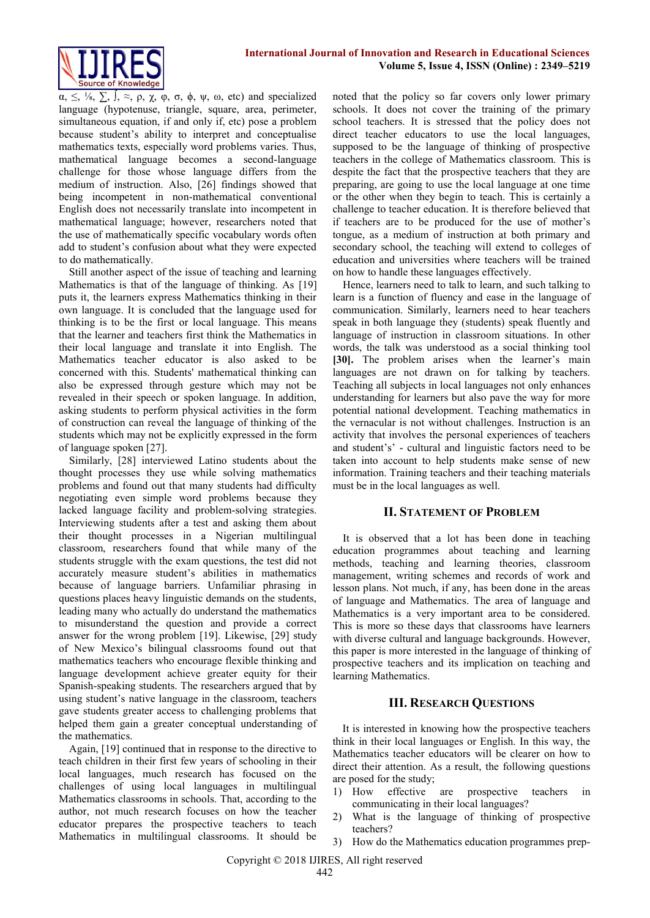

 $\alpha$ ,  $\leq$ ,  $\frac{1}{8}$ ,  $\sum$ ,  $\frac{1}{8}$ ,  $\approx$ ,  $\rho$ ,  $\chi$ ,  $\varphi$ ,  $\sigma$ ,  $\varphi$ ,  $\psi$ ,  $\omega$ , etc) and specialized language (hypotenuse, triangle, square, area, perimeter, simultaneous equation, if and only if, etc) pose a problem because student's ability to interpret and conceptualise mathematics texts, especially word problems varies. Thus, mathematical language becomes a second-language challenge for those whose language differs from the medium of instruction. Also, [26] findings showed that being incompetent in non-mathematical conventional English does not necessarily translate into incompetent in mathematical language; however, researchers noted that the use of mathematically specific vocabulary words often add to student's confusion about what they were expected to do mathematically.

Still another aspect of the issue of teaching and learning Mathematics is that of the language of thinking. As [19] puts it, the learners express Mathematics thinking in their own language. It is concluded that the language used for thinking is to be the first or local language. This means that the learner and teachers first think the Mathematics in their local language and translate it into English. The Mathematics teacher educator is also asked to be concerned with this. Students' mathematical thinking can also be expressed through gesture which may not be revealed in their speech or spoken language. In addition, asking students to perform physical activities in the form of construction can reveal the language of thinking of the students which may not be explicitly expressed in the form of language spoken [27].

Similarly, [28] interviewed Latino students about the thought processes they use while solving mathematics problems and found out that many students had difficulty negotiating even simple word problems because they lacked language facility and problem-solving strategies. Interviewing students after a test and asking them about their thought processes in a Nigerian multilingual classroom, researchers found that while many of the students struggle with the exam questions, the test did not accurately measure student's abilities in mathematics because of language barriers. Unfamiliar phrasing in questions places heavy linguistic demands on the students, leading many who actually do understand the mathematics to misunderstand the question and provide a correct answer for the wrong problem [19]. Likewise, [29] study of New Mexico's bilingual classrooms found out that mathematics teachers who encourage flexible thinking and language development achieve greater equity for their Spanish-speaking students. The researchers argued that by using student's native language in the classroom, teachers gave students greater access to challenging problems that helped them gain a greater conceptual understanding of the mathematics.

Again, [19] continued that in response to the directive to teach children in their first few years of schooling in their local languages, much research has focused on the challenges of using local languages in multilingual Mathematics classrooms in schools. That, according to the author, not much research focuses on how the teacher educator prepares the prospective teachers to teach Mathematics in multilingual classrooms. It should be

noted that the policy so far covers only lower primary schools. It does not cover the training of the primary school teachers. It is stressed that the policy does not direct teacher educators to use the local languages, supposed to be the language of thinking of prospective teachers in the college of Mathematics classroom. This is despite the fact that the prospective teachers that they are preparing, are going to use the local language at one time or the other when they begin to teach. This is certainly a challenge to teacher education. It is therefore believed that if teachers are to be produced for the use of mother's tongue, as a medium of instruction at both primary and secondary school, the teaching will extend to colleges of education and universities where teachers will be trained on how to handle these languages effectively.

Hence, learners need to talk to learn, and such talking to learn is a function of fluency and ease in the language of communication. Similarly, learners need to hear teachers speak in both language they (students) speak fluently and language of instruction in classroom situations. In other words, the talk was understood as a social thinking tool **[30].** The problem arises when the learner's main languages are not drawn on for talking by teachers. Teaching all subjects in local languages not only enhances understanding for learners but also pave the way for more potential national development. Teaching mathematics in the vernacular is not without challenges. Instruction is an activity that involves the personal experiences of teachers and student's' - cultural and linguistic factors need to be taken into account to help students make sense of new information. Training teachers and their teaching materials must be in the local languages as well.

#### **II. STATEMENT OF PROBLEM**

It is observed that a lot has been done in teaching education programmes about teaching and learning methods, teaching and learning theories, classroom management, writing schemes and records of work and lesson plans. Not much, if any, has been done in the areas of language and Mathematics. The area of language and Mathematics is a very important area to be considered. This is more so these days that classrooms have learners with diverse cultural and language backgrounds. However, this paper is more interested in the language of thinking of prospective teachers and its implication on teaching and learning Mathematics.

# **III. RESEARCH QUESTIONS**

It is interested in knowing how the prospective teachers think in their local languages or English. In this way, the Mathematics teacher educators will be clearer on how to direct their attention. As a result, the following questions are posed for the study;

- 1) How effective are prospective teachers in communicating in their local languages?
- 2) What is the language of thinking of prospective teachers?
- 3) How do the Mathematics education programmes prep-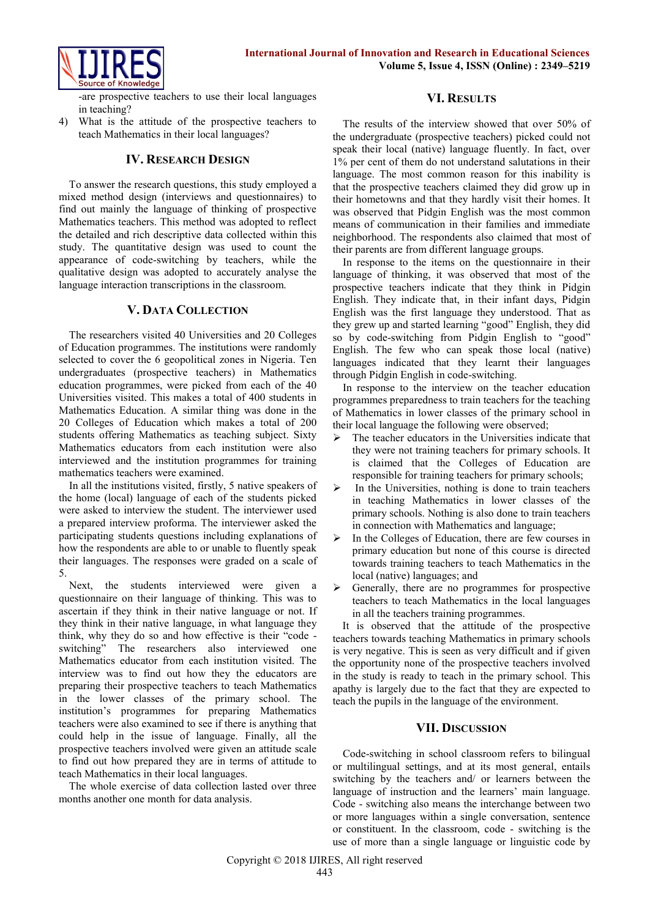

-are prospective teachers to use their local languages in teaching?

4) What is the attitude of the prospective teachers to teach Mathematics in their local languages?

# **IV. RESEARCH DESIGN**

To answer the research questions, this study employed a mixed method design (interviews and questionnaires) to find out mainly the language of thinking of prospective Mathematics teachers. This method was adopted to reflect the detailed and rich descriptive data collected within this study. The quantitative design was used to count the appearance of code-switching by teachers, while the qualitative design was adopted to accurately analyse the language interaction transcriptions in the classroom.

# **V. DATA COLLECTION**

The researchers visited 40 Universities and 20 Colleges of Education programmes. The institutions were randomly selected to cover the 6 geopolitical zones in Nigeria. Ten undergraduates (prospective teachers) in Mathematics education programmes, were picked from each of the 40 Universities visited. This makes a total of 400 students in Mathematics Education. A similar thing was done in the 20 Colleges of Education which makes a total of 200 students offering Mathematics as teaching subject. Sixty Mathematics educators from each institution were also interviewed and the institution programmes for training mathematics teachers were examined.

In all the institutions visited, firstly, 5 native speakers of the home (local) language of each of the students picked were asked to interview the student. The interviewer used a prepared interview proforma. The interviewer asked the participating students questions including explanations of how the respondents are able to or unable to fluently speak their languages. The responses were graded on a scale of 5.

Next, the students interviewed were given a questionnaire on their language of thinking. This was to ascertain if they think in their native language or not. If they think in their native language, in what language they think, why they do so and how effective is their "code switching" The researchers also interviewed one Mathematics educator from each institution visited. The interview was to find out how they the educators are preparing their prospective teachers to teach Mathematics in the lower classes of the primary school. The institution's programmes for preparing Mathematics teachers were also examined to see if there is anything that could help in the issue of language. Finally, all the prospective teachers involved were given an attitude scale to find out how prepared they are in terms of attitude to teach Mathematics in their local languages.

The whole exercise of data collection lasted over three months another one month for data analysis.

# **VI. RESULTS**

The results of the interview showed that over 50% of the undergraduate (prospective teachers) picked could not speak their local (native) language fluently. In fact, over 1% per cent of them do not understand salutations in their language. The most common reason for this inability is that the prospective teachers claimed they did grow up in their hometowns and that they hardly visit their homes. It was observed that Pidgin English was the most common means of communication in their families and immediate neighborhood. The respondents also claimed that most of their parents are from different language groups.

In response to the items on the questionnaire in their language of thinking, it was observed that most of the prospective teachers indicate that they think in Pidgin English. They indicate that, in their infant days, Pidgin English was the first language they understood. That as they grew up and started learning "good" English, they did so by code-switching from Pidgin English to "good" English. The few who can speak those local (native) languages indicated that they learnt their languages through Pidgin English in code-switching.

In response to the interview on the teacher education programmes preparedness to train teachers for the teaching of Mathematics in lower classes of the primary school in their local language the following were observed;

- $\triangleright$  The teacher educators in the Universities indicate that they were not training teachers for primary schools. It is claimed that the Colleges of Education are responsible for training teachers for primary schools;
- $\triangleright$  In the Universities, nothing is done to train teachers in teaching Mathematics in lower classes of the primary schools. Nothing is also done to train teachers in connection with Mathematics and language;
- In the Colleges of Education, there are few courses in primary education but none of this course is directed towards training teachers to teach Mathematics in the local (native) languages; and
- $\triangleright$  Generally, there are no programmes for prospective teachers to teach Mathematics in the local languages in all the teachers training programmes.

It is observed that the attitude of the prospective teachers towards teaching Mathematics in primary schools is very negative. This is seen as very difficult and if given the opportunity none of the prospective teachers involved in the study is ready to teach in the primary school. This apathy is largely due to the fact that they are expected to teach the pupils in the language of the environment.

# **VII. DISCUSSION**

Code-switching in school classroom refers to bilingual or multilingual settings, and at its most general, entails switching by the teachers and/ or learners between the language of instruction and the learners' main language. Code - switching also means the interchange between two or more languages within a single conversation, sentence or constituent. In the classroom, code - switching is the use of more than a single language or linguistic code by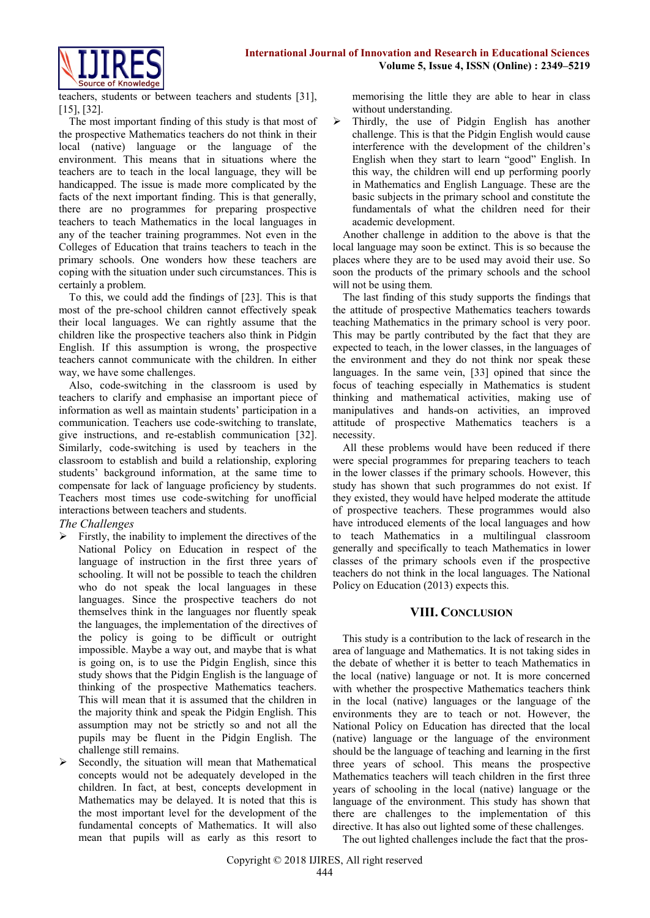

teachers, students or between teachers and students [31], [15], [32].

The most important finding of this study is that most of the prospective Mathematics teachers do not think in their local (native) language or the language of the environment. This means that in situations where the teachers are to teach in the local language, they will be handicapped. The issue is made more complicated by the facts of the next important finding. This is that generally, there are no programmes for preparing prospective teachers to teach Mathematics in the local languages in any of the teacher training programmes. Not even in the Colleges of Education that trains teachers to teach in the primary schools. One wonders how these teachers are coping with the situation under such circumstances. This is certainly a problem.

To this, we could add the findings of [23]. This is that most of the pre-school children cannot effectively speak their local languages. We can rightly assume that the children like the prospective teachers also think in Pidgin English. If this assumption is wrong, the prospective teachers cannot communicate with the children. In either way, we have some challenges.

Also, code-switching in the classroom is used by teachers to clarify and emphasise an important piece of information as well as maintain students' participation in a communication. Teachers use code-switching to translate, give instructions, and re-establish communication [32]. Similarly, code-switching is used by teachers in the classroom to establish and build a relationship, exploring students' background information, at the same time to compensate for lack of language proficiency by students. Teachers most times use code-switching for unofficial interactions between teachers and students.

*The Challenges*

- Firstly, the inability to implement the directives of the National Policy on Education in respect of the language of instruction in the first three years of schooling. It will not be possible to teach the children who do not speak the local languages in these languages. Since the prospective teachers do not themselves think in the languages nor fluently speak the languages, the implementation of the directives of the policy is going to be difficult or outright impossible. Maybe a way out, and maybe that is what is going on, is to use the Pidgin English, since this study shows that the Pidgin English is the language of thinking of the prospective Mathematics teachers. This will mean that it is assumed that the children in the majority think and speak the Pidgin English. This assumption may not be strictly so and not all the pupils may be fluent in the Pidgin English. The challenge still remains.
- $\triangleright$  Secondly, the situation will mean that Mathematical concepts would not be adequately developed in the children. In fact, at best, concepts development in Mathematics may be delayed. It is noted that this is the most important level for the development of the fundamental concepts of Mathematics. It will also mean that pupils will as early as this resort to

memorising the little they are able to hear in class without understanding.

 $\triangleright$  Thirdly, the use of Pidgin English has another challenge. This is that the Pidgin English would cause interference with the development of the children's English when they start to learn "good" English. In this way, the children will end up performing poorly in Mathematics and English Language. These are the basic subjects in the primary school and constitute the fundamentals of what the children need for their academic development.

Another challenge in addition to the above is that the local language may soon be extinct. This is so because the places where they are to be used may avoid their use. So soon the products of the primary schools and the school will not be using them.

The last finding of this study supports the findings that the attitude of prospective Mathematics teachers towards teaching Mathematics in the primary school is very poor. This may be partly contributed by the fact that they are expected to teach, in the lower classes, in the languages of the environment and they do not think nor speak these languages. In the same vein, [33] opined that since the focus of teaching especially in Mathematics is student thinking and mathematical activities, making use of manipulatives and hands-on activities, an improved attitude of prospective Mathematics teachers is a necessity.

All these problems would have been reduced if there were special programmes for preparing teachers to teach in the lower classes if the primary schools. However, this study has shown that such programmes do not exist. If they existed, they would have helped moderate the attitude of prospective teachers. These programmes would also have introduced elements of the local languages and how to teach Mathematics in a multilingual classroom generally and specifically to teach Mathematics in lower classes of the primary schools even if the prospective teachers do not think in the local languages. The National Policy on Education (2013) expects this.

# **VIII. CONCLUSION**

This study is a contribution to the lack of research in the area of language and Mathematics. It is not taking sides in the debate of whether it is better to teach Mathematics in the local (native) language or not. It is more concerned with whether the prospective Mathematics teachers think in the local (native) languages or the language of the environments they are to teach or not. However, the National Policy on Education has directed that the local (native) language or the language of the environment should be the language of teaching and learning in the first three years of school. This means the prospective Mathematics teachers will teach children in the first three years of schooling in the local (native) language or the language of the environment. This study has shown that there are challenges to the implementation of this directive. It has also out lighted some of these challenges.

The out lighted challenges include the fact that the pros-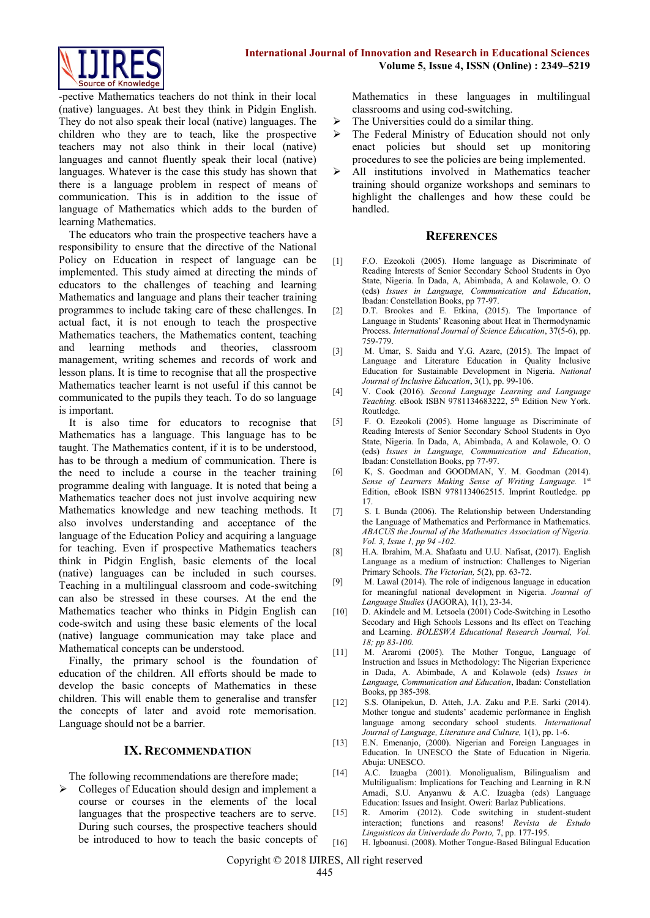

-pective Mathematics teachers do not think in their local (native) languages. At best they think in Pidgin English. They do not also speak their local (native) languages. The children who they are to teach, like the prospective teachers may not also think in their local (native) languages and cannot fluently speak their local (native) languages. Whatever is the case this study has shown that there is a language problem in respect of means of communication. This is in addition to the issue of language of Mathematics which adds to the burden of learning Mathematics.

The educators who train the prospective teachers have a responsibility to ensure that the directive of the National Policy on Education in respect of language can be implemented. This study aimed at directing the minds of educators to the challenges of teaching and learning Mathematics and language and plans their teacher training programmes to include taking care of these challenges. In actual fact, it is not enough to teach the prospective Mathematics teachers, the Mathematics content, teaching and learning methods and theories, classroom management, writing schemes and records of work and lesson plans. It is time to recognise that all the prospective Mathematics teacher learnt is not useful if this cannot be communicated to the pupils they teach. To do so language is important.

It is also time for educators to recognise that Mathematics has a language. This language has to be taught. The Mathematics content, if it is to be understood, has to be through a medium of communication. There is the need to include a course in the teacher training programme dealing with language. It is noted that being a Mathematics teacher does not just involve acquiring new Mathematics knowledge and new teaching methods. It also involves understanding and acceptance of the language of the Education Policy and acquiring a language for teaching. Even if prospective Mathematics teachers think in Pidgin English, basic elements of the local (native) languages can be included in such courses. Teaching in a multilingual classroom and code-switching can also be stressed in these courses. At the end the Mathematics teacher who thinks in Pidgin English can code-switch and using these basic elements of the local (native) language communication may take place and Mathematical concepts can be understood.

Finally, the primary school is the foundation of education of the children. All efforts should be made to develop the basic concepts of Mathematics in these children. This will enable them to generalise and transfer the concepts of later and avoid rote memorisation. Language should not be a barrier.

#### **IX. RECOMMENDATION**

The following recommendations are therefore made;

 Colleges of Education should design and implement a course or courses in the elements of the local languages that the prospective teachers are to serve. During such courses, the prospective teachers should be introduced to how to teach the basic concepts of Mathematics in these languages in multilingual classrooms and using cod-switching.

- The Universities could do a similar thing.
- $\triangleright$  The Federal Ministry of Education should not only enact policies but should set up monitoring procedures to see the policies are being implemented.
- All institutions involved in Mathematics teacher training should organize workshops and seminars to highlight the challenges and how these could be handled.

#### **REFERENCES**

- [1] F.O. Ezeokoli (2005). Home language as Discriminate of Reading Interests of Senior Secondary School Students in Oyo State, Nigeria. In Dada, A, Abimbada, A and Kolawole, O. O (eds) *Issues in Language, Communication and Education*, Ibadan: Constellation Books, pp 77-97.
- [2] D.T. Brookes and E. Etkina, (2015). The Importance of Language in Students' Reasoning about Heat in Thermodynamic Process. *International Journal of Science Education*, 37(5-6), pp. 759-779.
- [3] M. Umar, S. Saidu and Y.G. Azare, (2015). The Impact of Language and Literature Education in Quality Inclusive Education for Sustainable Development in Nigeria. *National Journal of Inclusive Education*, 3(1), pp. 99-106.
- [4] V. Cook (2016). *Second Language Learning and Language Teaching.* eBook ISBN 9781134683222, 5th Edition New York. Routledge.
- [5] F. O. Ezeokoli (2005). Home language as Discriminate of Reading Interests of Senior Secondary School Students in Oyo State, Nigeria. In Dada, A, Abimbada, A and Kolawole, O. O (eds) *Issues in Language, Communication and Education*, Ibadan: Constellation Books, pp 77-97.
- [6] K, S. Goodman and GOODMAN, Y. M. Goodman (2014). Sense of Learners Making Sense of Writing Language. 1st Edition, eBook ISBN 9781134062515. Imprint Routledge. pp 17.
- [7] S. I. Bunda (2006). The Relationship between Understanding the Language of Mathematics and Performance in Mathematics. *ABACUS the Journal of the Mathematics Association of Nigeria. Vol. 3, Issue 1, pp 94 -102.*
- [8] H.A. Ibrahim, M.A. Shafaatu and U.U. Nafisat, (2017). English Language as a medium of instruction: Challenges to Nigerian Primary Schools. *The Victorian,* 5(2), pp. 63-72.
- [9] M. Lawal (2014). The role of indigenous language in education for meaningful national development in Nigeria. *Journal of Language Studies* (JAGORA), 1(1), 23-34.
- [10] D. Akindele and M. Letsoela (2001) Code-Switching in Lesotho Secodary and High Schools Lessons and Its effect on Teaching and Learning. *BOLESWA Educational Research Journal, Vol. 18; pp 83-100.*
- [11] M. Araromi (2005). The Mother Tongue, Language of Instruction and Issues in Methodology: The Nigerian Experience in Dada, A. Abimbade, A and Kolawole (eds) *Issues in Language, Communication and Education*, Ibadan: Constellation Books, pp 385-398.
- [12] S.S. Olanipekun, D. Atteh, J.A. Zaku and P.E. Sarki (2014). Mother tongue and students' academic performance in English language among secondary school students. *International Journal of Language, Literature and Culture,* 1(1), pp. 1-6.
- [13] E.N. Emenanjo, (2000). Nigerian and Foreign Languages in Education. In UNESCO the State of Education in Nigeria. Abuja: UNESCO.
- [14] A.C. Izuagba (2001). Monoligualism, Bilingualism and Multiligualism: Implications for Teaching and Learning in R.N Amadi, S.U. Anyanwu & A.C. Izuagba (eds) Language Education: Issues and Insight. Oweri: Barlaz Publications.
- [15] R. Amorim (2012). Code switching in student-student interaction; functions and reasons! *Revista de Estudo Linguisticos da Univerdade do Porto,* 7, pp. 177-195.
- [16] H. Igboanusi. (2008). Mother Tongue-Based Bilingual Education